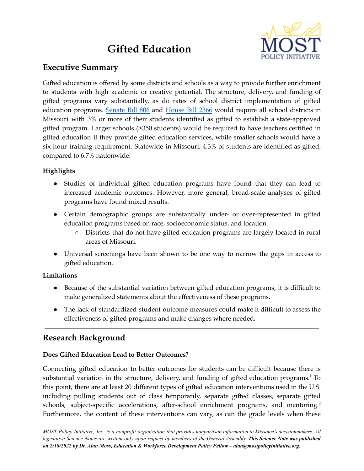# **Gifted Education**



## **Executive Summary**

Gifted education is offered by some districts and schools as a way to provide further enrichment to students with high academic or creative potential. The structure, delivery, and funding of gifted programs vary substantially, as do rates of school district implementation of gifted education programs. [Senate](https://www.senate.mo.gov/22info/BTS_Web/Bill.aspx?SessionType=R&BillID=71259802) Bill 806 and [House](https://www.house.mo.gov/Bill.aspx?bill=HB2366&year=2022&code=R) Bill 2366 would require all school districts in Missouri with 3% or more of their students identified as gifted to establish a state-approved gifted program. Larger schools (>350 students) would be required to have teachers certified in gifted education if they provide gifted education services, while smaller schools would have a six-hour training requirement. Statewide in Missouri, 4.3% of students are identified as gifted, compared to 6.7% nationwide.

## **Highlights**

- Studies of individual gifted education programs have found that they can lead to increased academic outcomes. However, more general, broad-scale analyses of gifted programs have found mixed results.
- Certain demographic groups are substantially under- or over-represented in gifted education programs based on race, socioeconomic status, and location.
	- Districts that do not have gifted education programs are largely located in rural areas of Missouri.
- Universal screenings have been shown to be one way to narrow the gaps in access to gifted education.

## **Limitations**

- Because of the substantial variation between gifted education programs, it is difficult to make generalized statements about the effectiveness of these programs.
- The lack of standardized student outcome measures could make it difficult to assess the effectiveness of gifted programs and make changes where needed.

# **Research Background**

## **Does Gifted Education Lead to Better Outcomes?**

Connecting gifted education to better outcomes for students can be difficult because there is substantial variation in the structure, delivery, and funding of gifted education programs.<sup>1</sup> To this point, there are at least 20 different types of gifted education interventions used in the U.S. including pulling students out of class temporarily, separate gifted classes, separate gifted schools, subject-specific accelerations, after-school enrichment programs, and mentoring.<sup>2</sup> Furthermore, the content of these interventions can vary, as can the grade levels when these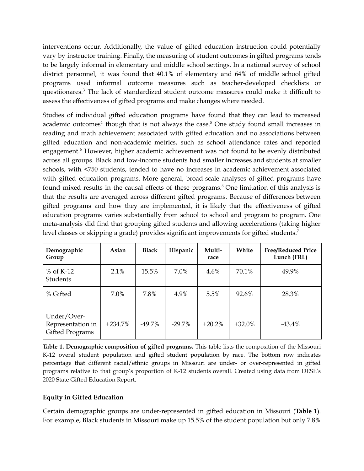interventions occur. Additionally, the value of gifted education instruction could potentially vary by instructor training. Finally, the measuring of student outcomes in gifted programs tends to be largely informal in elementary and middle school settings. In a national survey of school district personnel, it was found that 40.1% of elementary and 64% of middle school gifted programs used informal outcome measures such as teacher-developed checklists or questiionares. <sup>3</sup> The lack of standardized student outcome measures could make it difficult to assess the effectiveness of gifted programs and make changes where needed.

Studies of individual gifted education programs have found that they can lead to increased academic outcomes<sup>4</sup> though that is not always the case.<sup>5</sup> One study found small increases in reading and math achievement associated with gifted education and no associations between gifted education and non-academic metrics, such as school attendance rates and reported engagement. <sup>6</sup> However, higher academic achievement was not found to be evenly distributed across all groups. Black and low-income students had smaller increases and students at smaller schools, with <750 students, tended to have no increases in academic achievement associated with gifted education programs. More general, broad-scale analyses of gifted programs have found mixed results in the causal effects of these programs. <sup>6</sup> One limitation of this analysis is that the results are averaged across different gifted programs. Because of differences between gifted programs and how they are implemented, it is likely that the effectiveness of gifted education programs varies substantially from school to school and program to program. One meta-analysis did find that grouping gifted students and allowing accelerations (taking higher level classes or skipping a grade) provides significant improvements for gifted students. 7

| Demographic<br>Group                                | Asian     | <b>Black</b> | Hispanic | Multi-<br>race | White     | <b>Free/Reduced Price</b><br>Lunch (FRL) |
|-----------------------------------------------------|-----------|--------------|----------|----------------|-----------|------------------------------------------|
| $%$ of K-12<br>Students                             | 2.1%      | 15.5%        | 7.0%     | $4.6\%$        | 70.1%     | 49.9%                                    |
| % Gifted                                            | 7.0%      | 7.8%         | 4.9%     | 5.5%           | 92.6%     | 28.3%                                    |
| Under/Over-<br>Representation in<br>Gifted Programs | $+234.7%$ | $-49.7%$     | $-29.7%$ | $+20.2%$       | $+32.0\%$ | $-43.4%$                                 |

**Table 1. Demographic composition of gifted programs.** This table lists the composition of the Missouri K-12 overal student population and gifted student population by race. The bottom row indicates percentage that different racial/ethnic groups in Missouri are under- or over-represented in gifted programs relative to that group's proportion of K-12 students overall. Created using data from DESE's 2020 State Gifted Education Report.

#### **Equity in Gifted Education**

Certain demographic groups are under-represented in gifted education in Missouri (**Table 1**). For example, Black students in Missouri make up 15.5% of the student population but only 7.8%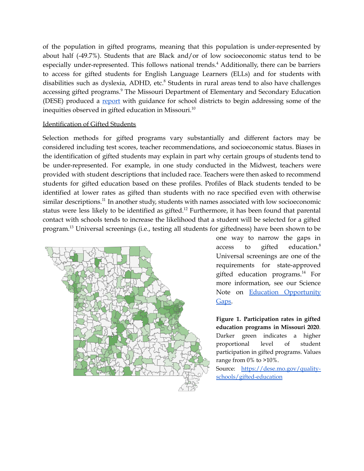of the population in gifted programs, meaning that this population is under-represented by about half (-49.7%). Students that are Black and/or of low socioeconomic status tend to be especially under-represented. This follows national trends. <sup>4</sup> Additionally, there can be barriers to access for gifted students for English Language Learners (ELLs) and for students with disabilities such as dyslexia, ADHD, etc.<sup>8</sup> Students in rural areas tend to also have challenges accessing gifted programs. <sup>9</sup> The Missouri Department of Elementary and Secondary Education (DESE) produced a [report](https://dese.mo.gov/media/pdf/identifying-and-serving-traditionally-underrepresented-gifted-students) with guidance for school districts to begin addressing some of the inequities observed in gifted education in Missouri. $^{10}$ 

#### Identification of Gifted Students

Selection methods for gifted programs vary substantially and different factors may be considered including test scores, teacher recommendations, and socioeconomic status. Biases in the identification of gifted students may explain in part why certain groups of students tend to be under-represented. For example, in one study conducted in the Midwest, teachers were provided with student descriptions that included race. Teachers were then asked to recommend students for gifted education based on these profiles. Profiles of Black students tended to be identified at lower rates as gifted than students with no race specified even with otherwise similar descriptions.<sup>11</sup> In another study, students with names associated with low socioeconomic status were less likely to be identified as gifted.<sup>12</sup> Furthermore, it has been found that parental contact with schools tends to increase the likelihood that a student will be selected for a gifted program. <sup>13</sup> Universal screenings (i.e., testing all students for giftedness) have been shown to be



one way to narrow the gaps in access to gifted education. 8 Universal screenings are one of the requirements for state-approved gifted education programs. <sup>14</sup> For more information, see our Science Note on Education [Opportunity](https://mostpolicyinitiative.org/science-note/education-opportunity-gaps/) [Gaps.](https://mostpolicyinitiative.org/science-note/education-opportunity-gaps/)

**Figure 1. Participation rates in gifted education programs in Missouri 2020**. Darker green indicates a higher proportional level of student participation in gifted programs. Values range from 0% to >10%.

Source: [https://dese.mo.gov/quality](https://dese.mo.gov/quality-schools/gifted-education)[schools/gifted-education](https://dese.mo.gov/quality-schools/gifted-education)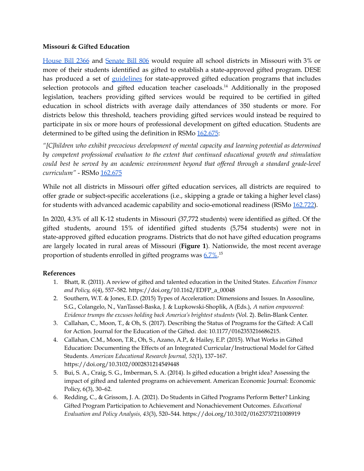#### **Missouri & Gifted Education**

[House](https://www.house.mo.gov/Bill.aspx?bill=HB2366&year=2022&code=R) Bill 2366 and [Senate](https://www.senate.mo.gov/22info/BTS_Web/Bill.aspx?SessionType=R&BillID=71259802) Bill 806 would require all school districts in Missouri with 3% or more of their students identified as gifted to establish a state-approved gifted program. DESE has produced a set of [guidelines](https://dese.mo.gov/media/pdf/gifted-program-guidelines-2021) for state-approved gifted education programs that includes selection protocols and gifted education teacher caseloads.<sup>14</sup> Additionally in the proposed legislation, teachers providing gifted services would be required to be certified in gifted education in school districts with average daily attendances of 350 students or more. For districts below this threshold, teachers providing gifted services would instead be required to participate in six or more hours of professional development on gifted education. Students are determined to be gifted using the definition in RSMo  $162.675$ :

*"[C]hildren who exhibit precocious development of mental capacity and learning potential as determined by competent professional evaluation to the extent that continued educational growth and stimulation could best be served by an academic environment beyond that of ered through a standard grade-level curriculum"* - RSMo  $162.675$ 

While not all districts in Missouri offer gifted education services, all districts are required to offer grade or subject-specific accelerations (i.e., skipping a grade or taking a higher level class) for students with advanced academic capability and socio-emotional readiness (RSMo [162.722\)](https://revisor.mo.gov/main/OneSection.aspx?section=162.722).

In 2020, 4.3% of all K-12 students in Missouri (37,772 students) were identified as gifted. Of the gifted students, around 15% of identified gifted students (5,754 students) were not in state-approved gifted education programs. Districts that do not have gifted education programs are largely located in rural areas of Missouri (**Figure 1**). Nationwide, the most recent average proportion of students enrolled in gifted programs was [6.7%.](https://nces.ed.gov/programs/digest/d17/tables/dt17_204.90.asp)<sup>15</sup>

#### **References**

- 1. Bhatt, R. (2011). A review of gifted and talented education in the United States. *Education Finance and Policy, 6*(4), 557–582. https://doi.org/10.1162/EDFP\_a\_00048
- 2. Southern, W.T. & Jones, E.D. (2015) Types of Acceleration: Dimensions and Issues. In Assouline, S.G., Colangelo, N., VanTassel-Baska, J. & Lupkowski-Shoplik, A (Eds.), *A nation empowered: Evidence trumps the excuses holding back America's brightest students* (Vol. 2). Belin-Blank Center.
- 3. Callahan, C., Moon, T., & Oh, S. (2017). Describing the Status of Programs for the Gifted: A Call for Action. Journal for the Education of the Gifted. doi: 10.1177/0162353216686215.
- 4. Callahan, C.M., Moon, T.R., Oh, S., Azano, A.P., & Hailey, E.P. (2015). What Works in Gifted Education: Documenting the Effects of an Integrated Curricular/Instructional Model for Gifted Students. *American Educational Research Journal, 52*(1), 137–167. https://doi.org/10.3102/0002831214549448
- 5. Bui, S. A., Craig, S. G., Imberman, S. A. (2014). Is gifted education a bright idea? Assessing the impact of gifted and talented programs on achievement. American Economic Journal: Economic Policy, 6(3), 30–62.
- 6. Redding, C., & Grissom, J. A. (2021). Do Students in Gifted Programs Perform Better? Linking Gifted Program Participation to Achievement and Nonachievement Outcomes. *Educational Evaluation and Policy Analysis, 43*(3), 520–544. https://doi.org/10.3102/01623737211008919